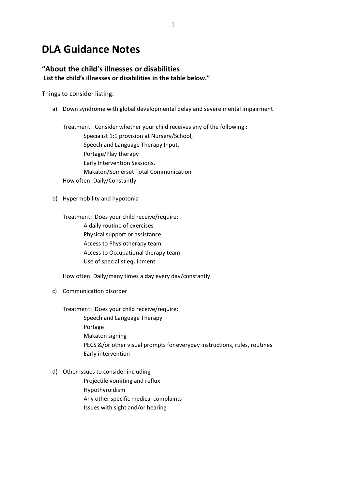# **DLA Guidance Notes**

#### **"About the child's illnesses or disabilities List the child's illnesses or disabilities in the table below."**

Things to consider listing:

a) Down syndrome with global developmental delay and severe mental impairment

Treatment: Consider whether your child receives any of the following : Specialist 1:1 provision at Nursery/School, Speech and Language Therapy Input, Portage/Play therapy Early Intervention Sessions, Makaton/Somerset Total Communication How often: Daily/Constantly

b) Hypermobility and hypotonia

Treatment: Does your child receive/require: A daily routine of exercises Physical support or assistance Access to Physiotherapy team Access to Occupational therapy team Use of specialist equipment

How often: Daily/many times a day every day/constantly

c) Communication disorder

Treatment: Does your child receive/require:

- Speech and Language Therapy Portage Makaton signing PECS &/or other visual prompts for everyday instructions, rules, routines Early intervention
- d) Other issues to consider including Projectile vomiting and reflux Hypothyroidism Any other specific medical complaints Issues with sight and/or hearing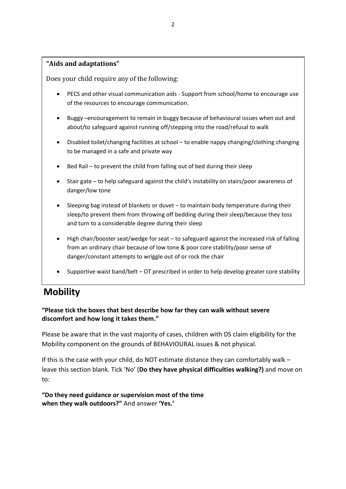#### **"Aids and adaptations"**

Does your child require any of the following:

- PECS and other visual communication aids Support from school/home to encourage use of the resources to encourage communication.
- Buggy –encouragement to remain in buggy because of behavioural issues when out and about/to safeguard against running off/stepping into the road/refusal to walk
- Disabled toilet/changing facilities at school to enable nappy changing/clothing changing to be managed in a safe and private way
- Bed Rail to prevent the child from falling out of bed during their sleep
- Stair gate to help safeguard against the child's instability on stairs/poor awareness of danger/low tone
- Sleeping bag instead of blankets or duvet to maintain body temperature during their sleep/to prevent them from throwing off bedding during their sleep/because they toss and turn to a considerable degree during their sleep
- High chair/booster seat/wedge for seat to safeguard against the increased risk of falling from an ordinary chair because of low tone & poor core stability/poor sense of danger/constant attempts to wriggle out of or rock the chair
- Supportive waist band/belt OT prescribed in order to help develop greater core stability

## **Mobility**

### **"Please tick the boxes that best describe how far they can walk without severe discomfort and how long it takes them."**

Please be aware that in the vast majority of cases, children with DS claim eligibility for the Mobility component on the grounds of BEHAVIOURAL issues & not physical.

If this is the case with your child, do NOT estimate distance they can comfortably walk – leave this section blank. Tick 'No' (**Do they have physical difficulties walking?)** and move on to:

**"Do they need guidance or supervision most of the time when they walk outdoors?"** And answer **'Yes.'**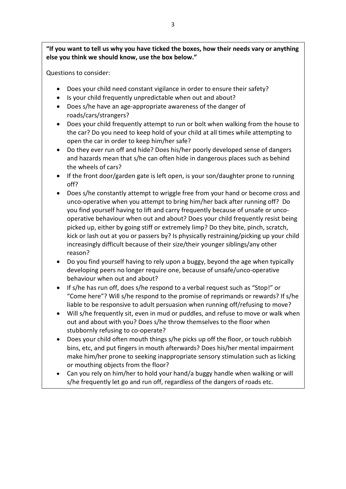**"If you want to tell us why you have ticked the boxes, how their needs vary or anything else you think we should know, use the box below."**

Questions to consider:

- Does your child need constant vigilance in order to ensure their safety?
- Is your child frequently unpredictable when out and about?
- Does s/he have an age-appropriate awareness of the danger of roads/cars/strangers?
- Does your child frequently attempt to run or bolt when walking from the house to the car? Do you need to keep hold of your child at all times while attempting to open the car in order to keep him/her safe?
- Do they ever run off and hide? Does his/her poorly developed sense of dangers and hazards mean that s/he can often hide in dangerous places such as behind the wheels of cars?
- If the front door/garden gate is left open, is your son/daughter prone to running off?
- Does s/he constantly attempt to wriggle free from your hand or become cross and unco-operative when you attempt to bring him/her back after running off? Do you find yourself having to lift and carry frequently because of unsafe or uncooperative behaviour when out and about? Does your child frequently resist being picked up, either by going stiff or extremely limp? Do they bite, pinch, scratch, kick or lash out at you or passers by? Is physically restraining/picking up your child increasingly difficult because of their size/their younger siblings/any other reason?
- Do you find yourself having to rely upon a buggy, beyond the age when typically developing peers no longer require one, because of unsafe/unco-operative behaviour when out and about?
- If s/he has run off, does s/he respond to a verbal request such as "Stop!" or "Come here"? Will s/he respond to the promise of reprimands or rewards? If s/he liable to be responsive to adult persuasion when running off/refusing to move?
- Will s/he frequently sit, even in mud or puddles, and refuse to move or walk when out and about with you? Does s/he throw themselves to the floor when stubbornly refusing to co-operate?
- Does your child often mouth things s/he picks up off the floor, or touch rubbish bins, etc, and put fingers in mouth afterwards? Does his/her mental impairment make him/her prone to seeking inappropriate sensory stimulation such as licking or mouthing objects from the floor?
- Can you rely on him/her to hold your hand/a buggy handle when walking or will s/he frequently let go and run off, regardless of the dangers of roads etc.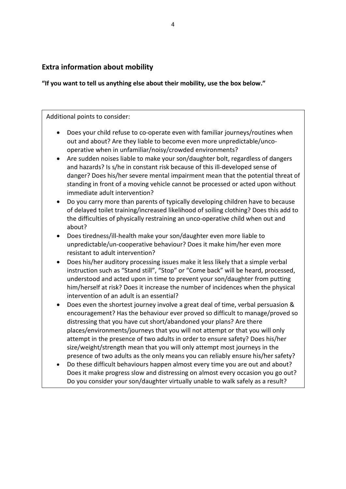## **Extra information about mobility**

**"If you want to tell us anything else about their mobility, use the box below."**

Additional points to consider:

- Does your child refuse to co-operate even with familiar journeys/routines when out and about? Are they liable to become even more unpredictable/uncooperative when in unfamiliar/noisy/crowded environments?
- Are sudden noises liable to make your son/daughter bolt, regardless of dangers and hazards? Is s/he in constant risk because of this ill-developed sense of danger? Does his/her severe mental impairment mean that the potential threat of standing in front of a moving vehicle cannot be processed or acted upon without immediate adult intervention?
- Do you carry more than parents of typically developing children have to because of delayed toilet training/increased likelihood of soiling clothing? Does this add to the difficulties of physically restraining an unco-operative child when out and about?
- Does tiredness/ill-health make your son/daughter even more liable to unpredictable/un-cooperative behaviour? Does it make him/her even more resistant to adult intervention?
- Does his/her auditory processing issues make it less likely that a simple verbal instruction such as "Stand still", "Stop" or "Come back" will be heard, processed, understood and acted upon in time to prevent your son/daughter from putting him/herself at risk? Does it increase the number of incidences when the physical intervention of an adult is an essential?
- Does even the shortest journey involve a great deal of time, verbal persuasion & encouragement? Has the behaviour ever proved so difficult to manage/proved so distressing that you have cut short/abandoned your plans? Are there places/environments/journeys that you will not attempt or that you will only attempt in the presence of two adults in order to ensure safety? Does his/her size/weight/strength mean that you will only attempt most journeys in the presence of two adults as the only means you can reliably ensure his/her safety?
- Do these difficult behaviours happen almost every time you are out and about? Does it make progress slow and distressing on almost every occasion you go out? Do you consider your son/daughter virtually unable to walk safely as a result?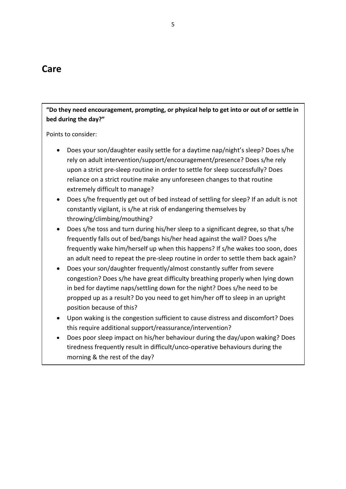## **Care**

**"Do they need encouragement, prompting, or physical help to get into or out of or settle in bed during the day?"**

Points to consider:

- Does your son/daughter easily settle for a daytime nap/night's sleep? Does s/he rely on adult intervention/support/encouragement/presence? Does s/he rely upon a strict pre-sleep routine in order to settle for sleep successfully? Does reliance on a strict routine make any unforeseen changes to that routine extremely difficult to manage?
- Does s/he frequently get out of bed instead of settling for sleep? If an adult is not constantly vigilant, is s/he at risk of endangering themselves by throwing/climbing/mouthing?
- Does s/he toss and turn during his/her sleep to a significant degree, so that s/he frequently falls out of bed/bangs his/her head against the wall? Does s/he frequently wake him/herself up when this happens? If s/he wakes too soon, does an adult need to repeat the pre-sleep routine in order to settle them back again?
- Does your son/daughter frequently/almost constantly suffer from severe congestion? Does s/he have great difficulty breathing properly when lying down in bed for daytime naps/settling down for the night? Does s/he need to be propped up as a result? Do you need to get him/her off to sleep in an upright position because of this?
- Upon waking is the congestion sufficient to cause distress and discomfort? Does this require additional support/reassurance/intervention?
- Does poor sleep impact on his/her behaviour during the day/upon waking? Does tiredness frequently result in difficult/unco-operative behaviours during the morning & the rest of the day?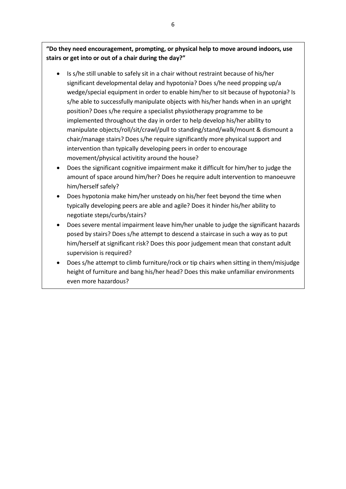"Do they need encouragement, prompting, or physical help to move around indoors, use **the day**?" **stairs or get into or out of a chair during the day?"**

- $\bullet$  Is s/he still unable to safely sit in a chair without restraint because of his/her significant developmental delay and hypotonia? Does s/he need propping up/a s/he able to successfully manipulate objects with his/her hands when in an upright position? Does s/he require a specialist physiotherapy programme to be implemented throughout the day in order to help develop his/her ability to manipulate objects/roll/sit/crawl/pull to standing/stand/walk/mount & dismount a chair/manage stairs? Does s/he require significantly more physical support and intervention than typically developing peers in order to encourage movement/physical activitity around the house? wedge/special equipment in order to enable him/her to sit because of hypotonia? Is
- Does the significant cognitive impairment make it difficult for him/her to judge the Does s/he frequently refuse to co-operate with adult intervention over toileting needs? amount of space around him/her? Does he require adult intervention to manoeuvre him/herself safely?
- does strategied cross-throw throw the resistence of the resistence of the community of the community of the community of the community of the community of the community of the community of the community of the community of • Does hypotonia make him/her unsteady on his/her feet beyond the time when  $\frac{1}{2}$ negotiate steps/curbs/stairs? The total not turn on the turn on the turn on the turn on turn on turn on turn o typically developing peers are able and agile? Does it hinder his/her ability to
- Does severe mental impairment leave him/her unable to judge the significant hazards posed by stairs? Does s/he attempt to descend a staircase in such a way as to put him/herself at significant risk? Does this poor judgement mean that constant adult supervision is required?
	- Does s/he attempt to climb furniture/rock or tip chairs when sitting in them/misjudge height of furniture and bang his/her head? Does this make unfamiliar environments even more hazardous?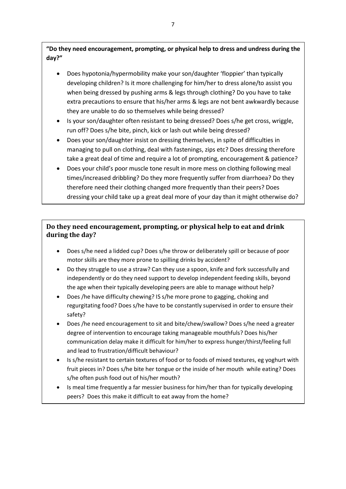"Do they need encouragement, prompting, or physical help to dress and undress during the **shower and check their appearance during the day?" day?"**

- developing children? Is it more challenging for him/her to dress alone/to assist you when being dressed by pushing arms & legs through clothing? Do you have to take extra precautions to ensure that his/her arms & legs are not bent awkwardly because they are unable to do so themselves while being dressed? • Does hypotonia/hypermobility make your son/daughter 'floppier' than typically
- run off? Does s/he bite, pinch, kick or lash out while being dressed? • Is your son/daughter often resistant to being dressed? Does s/he get cross, wriggle,
- Does your son/daughter insist on dressing themselves, in spite of difficulties in managing to pull on clothing, deal with fastenings, zips etc? Does dressing therefore take a great deal of time and require a lot of prompting, encouragement & patience?
	- Does your child's poor muscle tone result in more mess on clothing following meal times/increased dribbling? Do they more frequently suffer from diarrhoea? Do they therefore need their clothing changed more frequently than their peers? Does dressing your child take up a great deal more of your day than it might otherwise do?

## **Do they need encouragement, prompting, or physical help to eat and drink during the day?**

- Does s/he need a lidded cup? Does s/he throw or deliberately spill or because of poor motor skills are they more prone to spilling drinks by accident?
- Do they struggle to use a straw? Can they use a spoon, knife and fork successfully and independently or do they need support to develop independent feeding skills, beyond the age when their typically developing peers are able to manage without help?
- Does /he have difficulty chewing? IS s/he more prone to gagging, choking and regurgitating food? Does s/he have to be constantly supervised in order to ensure their safety?
- Does /he need encouragement to sit and bite/chew/swallow? Does s/he need a greater degree of intervention to encourage taking manageable mouthfuls? Does his/her communication delay make it difficult for him/her to express hunger/thirst/feeling full and lead to frustration/difficult behaviour?
- Is s/he resistant to certain textures of food or to foods of mixed textures, eg yoghurt with fruit pieces in? Does s/he bite her tongue or the inside of her mouth while eating? Does s/he often push food out of his/her mouth?
- Is meal time frequently a far messier business for him/her than for typically developing peers? Does this make it difficult to eat away from the home?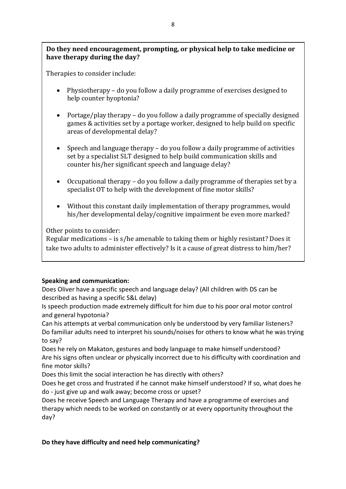### **Do they need encouragement, prompting, or physical help to take medicine or have therapy during the day?**

Therapies to consider include:

- Physiotherapy do you follow a daily programme of exercises designed to help counter hyoptonia?
- Portage/play therapy do you follow a daily programme of specially designed games & activities set by a portage worker, designed to help build on specific areas of developmental delay?
- Speech and language therapy do you follow a daily programme of activities set by a specialist SLT designed to help build communication skills and counter his/her significant speech and language delay?
- Occupational therapy do you follow a daily programme of therapies set by a specialist OT to help with the development of fine motor skills?
- Without this constant daily implementation of therapy programmes, would his/her developmental delay/cognitive impairment be even more marked?

Other points to consider:

Regular medications – is s/he amenable to taking them or highly resistant? Does it take two adults to administer effectively? Is it a cause of great distress to him/her?

#### **Speaking and communication:**

Does Oliver have a specific speech and language delay? (All children with DS can be described as having a specific S&L delay)

Is speech production made extremely difficult for him due to his poor oral motor control and general hypotonia?

Can his attempts at verbal communication only be understood by very familiar listeners? Do familiar adults need to interpret his sounds/noises for others to know what he was trying to say?

Does he rely on Makaton, gestures and body language to make himself understood? Are his signs often unclear or physically incorrect due to his difficulty with coordination and fine motor skills?

Does this limit the social interaction he has directly with others?

Does he get cross and frustrated if he cannot make himself understood? If so, what does he do - just give up and walk away; become cross or upset?

Does he receive Speech and Language Therapy and have a programme of exercises and therapy which needs to be worked on constantly or at every opportunity throughout the day?

### **Do they have difficulty and need help communicating?**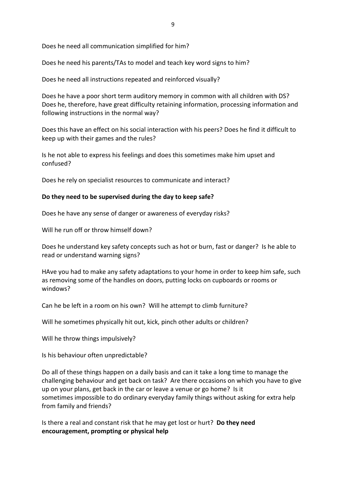Does he need all communication simplified for him?

Does he need his parents/TAs to model and teach key word signs to him?

Does he need all instructions repeated and reinforced visually?

Does he have a poor short term auditory memory in common with all children with DS? Does he, therefore, have great difficulty retaining information, processing information and following instructions in the normal way?

Does this have an effect on his social interaction with his peers? Does he find it difficult to keep up with their games and the rules?

Is he not able to express his feelings and does this sometimes make him upset and confused?

Does he rely on specialist resources to communicate and interact?

#### **Do they need to be supervised during the day to keep safe?**

Does he have any sense of danger or awareness of everyday risks?

Will he run off or throw himself down?

Does he understand key safety concepts such as hot or burn, fast or danger? Is he able to read or understand warning signs?

HAve you had to make any safety adaptations to your home in order to keep him safe, such as removing some of the handles on doors, putting locks on cupboards or rooms or windows?

Can he be left in a room on his own? Will he attempt to climb furniture?

Will he sometimes physically hit out, kick, pinch other adults or children?

Will he throw things impulsively?

Is his behaviour often unpredictable?

Do all of these things happen on a daily basis and can it take a long time to manage the challenging behaviour and get back on task? Are there occasions on which you have to give up on your plans, get back in the car or leave a venue or go home? Is it sometimes impossible to do ordinary everyday family things without asking for extra help from family and friends?

Is there a real and constant risk that he may get lost or hurt? **Do they need encouragement, prompting or physical help**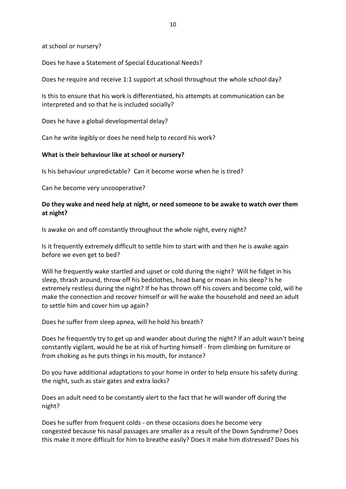at school or nursery?

Does he have a Statement of Special Educational Needs?

Does he require and receive 1:1 support at school throughout the whole school day?

Is this to ensure that his work is differentiated, his attempts at communication can be interpreted and so that he is included socially?

Does he have a global developmental delay?

Can he write legibly or does he need help to record his work?

#### **What is their behaviour like at school or nursery?**

Is his behaviour unpredictable? Can it become worse when he is tired?

Can he become very uncooperative?

#### **Do they wake and need help at night, or need someone to be awake to watch over them at night?**

Is awake on and off constantly throughout the whole night, every night?

Is it frequently extremely difficult to settle him to start with and then he is awake again before we even get to bed?

Will he frequently wake startled and upset or cold during the night? Will he fidget in his sleep, thrash around, throw off his bedclothes, head bang or moan in his sleep? Is he extremely restless during the night? If he has thrown off his covers and become cold, will he make the connection and recover himself or will he wake the household and need an adult to settle him and cover him up again?

Does he suffer from sleep apnea, will he hold his breath?

Does he frequently try to get up and wander about during the night? If an adult wasn't being constantly vigilant, would he be at risk of hurting himself - from climbing on furniture or from choking as he puts things in his mouth, for instance?

Do you have additional adaptations to your home in order to help ensure his safety during the night, such as stair gates and extra locks?

Does an adult need to be constantly alert to the fact that he will wander off during the night?

Does he suffer from frequent colds - on these occasions does he become very congested because his nasal passages are smaller as a result of the Down Syndrome? Does this make it more difficult for him to breathe easily? Does it make him distressed? Does his